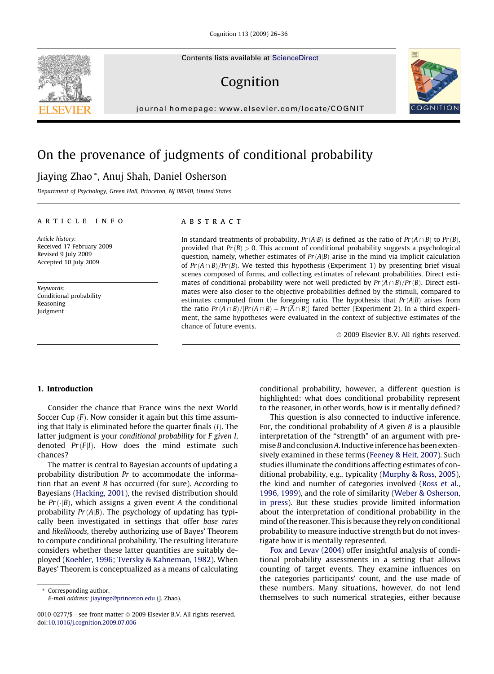Contents lists available at [ScienceDirect](http://www.sciencedirect.com/science/journal/00100277)

# Cognition

journal homepage: [www.elsevier.com/locate/COGNIT](http://www.elsevier.com/locate/COGNIT)

# On the provenance of judgments of conditional probability

# Jiaying Zhao \*, Anuj Shah, Daniel Osherson

Department of Psychology, Green Hall, Princeton, NJ 08540, United States

# article info

Article history: Received 17 February 2009 Revised 9 July 2009 Accepted 10 July 2009

Keywords: Conditional probability Reasoning Judgment

#### **ABSTRACT**

In standard treatments of probability,  $Pr(A|B)$  is defined as the ratio of  $Pr(A \cap B)$  to  $Pr(B)$ , provided that  $Pr(B) > 0$ . This account of conditional probability suggests a psychological question, namely, whether estimates of  $Pr(A|B)$  arise in the mind via implicit calculation of  $Pr(A \cap B)/Pr(B)$ . We tested this hypothesis (Experiment 1) by presenting brief visual scenes composed of forms, and collecting estimates of relevant probabilities. Direct estimates of conditional probability were not well predicted by  $Pr(A \cap B)/Pr(B)$ . Direct estimates were also closer to the objective probabilities defined by the stimuli, compared to estimates computed from the foregoing ratio. The hypothesis that  $Pr(A|B)$  arises from the ratio  $Pr(A \cap B)/[Pr(A \cap B) + Pr(A \cap B)]$  fared better (Experiment 2). In a third experiment, the same hypotheses were evaluated in the context of subjective estimates of the chance of future events.

- 2009 Elsevier B.V. All rights reserved.

# 1. Introduction

Consider the chance that France wins the next World Soccer Cup  $(F)$ . Now consider it again but this time assuming that Italy is eliminated before the quarter finals  $(I)$ . The latter judgment is your conditional probability for F given I, denoted  $Pr(F|I)$ . How does the mind estimate such chances?

The matter is central to Bayesian accounts of updating a probability distribution Pr to accommodate the information that an event B has occurred (for sure). According to Bayesians ([Hacking, 2001\)](#page-10-0), the revised distribution should be  $Pr(\cdot|B)$ , which assigns a given event A the conditional probability  $Pr(A|B)$ . The psychology of updating has typically been investigated in settings that offer base rates and likelihoods, thereby authorizing use of Bayes' Theorem to compute conditional probability. The resulting literature considers whether these latter quantities are suitably deployed [\(Koehler, 1996; Tversky & Kahneman, 1982](#page-10-0)). When Bayes' Theorem is conceptualized as a means of calculating

\* Corresponding author. E-mail address: [jiayingz@princeton.edu](mailto:jiayingz@princeton.edu) (J. Zhao). conditional probability, however, a different question is highlighted: what does conditional probability represent to the reasoner, in other words, how is it mentally defined?

This question is also connected to inductive inference. For, the conditional probability of  $A$  given  $B$  is a plausible interpretation of the ''strength" of an argument with premise B and conclusion A. Inductive inference has been extensively examined in these terms ([Feeney & Heit, 2007](#page-10-0)). Such studies illuminate the conditions affecting estimates of conditional probability, e.g., typicality ([Murphy & Ross, 2005\)](#page-10-0), the kind and number of categories involved [\(Ross et al.,](#page-10-0) [1996, 1999\)](#page-10-0), and the role of similarity ([Weber & Osherson,](#page-10-0) [in press](#page-10-0)). But these studies provide limited information about the interpretation of conditional probability in the mind of the reasoner. This is because they rely on conditional probability to measure inductive strength but do not investigate how it is mentally represented.

[Fox and Levav \(2004\)](#page-10-0) offer insightful analysis of conditional probability assessments in a setting that allows counting of target events. They examine influences on the categories participants' count, and the use made of these numbers. Many situations, however, do not lend themselves to such numerical strategies, either because





<sup>0010-0277/\$ -</sup> see front matter © 2009 Elsevier B.V. All rights reserved. doi[:10.1016/j.cognition.2009.07.006](http://dx.doi.org/10.1016/j.cognition.2009.07.006)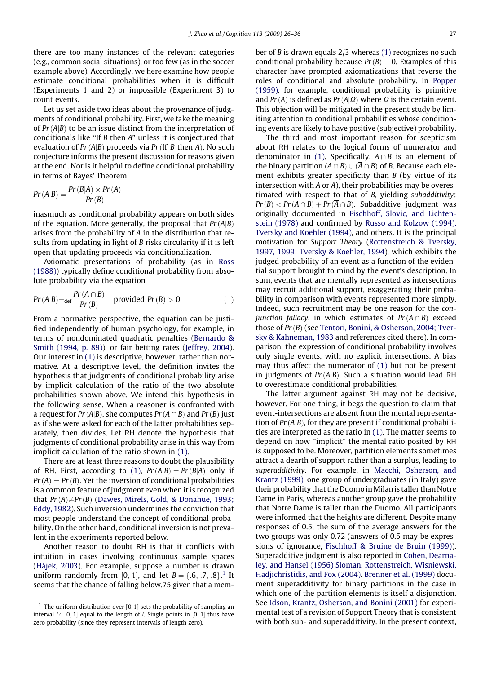<span id="page-1-0"></span>there are too many instances of the relevant categories (e.g., common social situations), or too few (as in the soccer example above). Accordingly, we here examine how people estimate conditional probabilities when it is difficult (Experiments 1 and 2) or impossible (Experiment 3) to count events.

Let us set aside two ideas about the provenance of judgments of conditional probability. First, we take the meaning of  $Pr(A|B)$  to be an issue distinct from the interpretation of conditionals like ''If B then A" unless it is conjectured that evaluation of  $Pr(A|B)$  proceeds via  $Pr(If \mid B)$  then A). No such conjecture informs the present discussion for reasons given at the end. Nor is it helpful to define conditional probability in terms of Bayes' Theorem

$$
Pr(A|B) = \frac{Pr(B|A) \times Pr(A)}{Pr(B)}
$$

inasmuch as conditional probability appears on both sides of the equation. More generally, the proposal that  $Pr(A|B)$ arises from the probability of A in the distribution that results from updating in light of B risks circularity if it is left open that updating proceeds via conditionalization.

Axiomatic presentations of probability (as in [Ross](#page-10-0) [\(1988\)\)](#page-10-0) typically define conditional probability from absolute probability via the equation

$$
Pr(A|B) =_{\text{def}} \frac{Pr(A \cap B)}{Pr(B)} \quad \text{provided } Pr(B) > 0. \tag{1}
$$

From a normative perspective, the equation can be justified independently of human psychology, for example, in terms of nondominated quadratic penalties ([Bernardo &](#page-9-0) [Smith \(1994, p. 89\)\)](#page-9-0), or fair betting rates [\(Jeffrey, 2004](#page-10-0)). Our interest in (1) is descriptive, however, rather than normative. At a descriptive level, the definition invites the hypothesis that judgments of conditional probability arise by implicit calculation of the ratio of the two absolute probabilities shown above. We intend this hypothesis in the following sense. When a reasoner is confronted with a request for  $Pr(A|B)$ , she computes  $Pr(A \cap B)$  and  $Pr(B)$  just as if she were asked for each of the latter probabilities separately, then divides. Let RH denote the hypothesis that judgments of conditional probability arise in this way from implicit calculation of the ratio shown in (1).

There are at least three reasons to doubt the plausibility of RH. First, according to (1),  $Pr(A|B) = Pr(B|A)$  only if  $Pr(A) = Pr(B)$ . Yet the inversion of conditional probabilities is a common feature of judgment even when it is recognized that  $Pr(A) \neq Pr(B)$  ([Dawes, Mirels, Gold, & Donahue, 1993;](#page-10-0) [Eddy, 1982](#page-10-0)). Such inversion undermines the conviction that most people understand the concept of conditional probability. On the other hand, conditional inversion is not prevalent in the experiments reported below.

Another reason to doubt RH is that it conflicts with intuition in cases involving continuous sample spaces ([Hájek, 2003\)](#page-10-0). For example, suppose a number is drawn uniform randomly from [0, 1], and let  $B = \{.6, .7, .8\}$ .<sup>1</sup> It seems that the chance of falling below.75 given that a member of B is drawn equals 2/3 whereas (1) recognizes no such conditional probability because  $Pr(B) = 0$ . Examples of this character have prompted axiomatizations that reverse the roles of conditional and absolute probability. In [Popper](#page-10-0) [\(1959\)](#page-10-0), for example, conditional probability is primitive and  $Pr(A)$  is defined as  $Pr(A|\Omega)$  where  $\Omega$  is the certain event. This objection will be mitigated in the present study by limiting attention to conditional probabilities whose conditioning events are likely to have positive (subjective) probability.

The third and most important reason for scepticism about RH relates to the logical forms of numerator and denominator in (1). Specifically,  $A \cap B$  is an element of the binary partition  $(A \cap B) \cup (\overline{A} \cap B)$  of B. Because each element exhibits greater specificity than B (by virtue of its intersection with A or  $\overline{A}$ ), their probabilities may be overestimated with respect to that of B, yielding subadditivity:  $Pr(B) < Pr(A \cap B) + Pr(\overline{A} \cap B)$ . Subadditive judgment was originally documented in [Fischhoff, Slovic, and Lichten](#page-10-0)[stein \(1978\)](#page-10-0) and confirmed by [Russo and Kolzow \(1994\),](#page-10-0) [Tversky and Koehler \(1994\),](#page-10-0) and others. It is the principal motivation for Support Theory [\(Rottenstreich & Tversky,](#page-10-0) [1997, 1999; Tversky & Koehler, 1994](#page-10-0)), which exhibits the judged probability of an event as a function of the evidential support brought to mind by the event's description. In sum, events that are mentally represented as intersections may recruit additional support, exaggerating their probability in comparison with events represented more simply. Indeed, such recruitment may be one reason for the con*junction fallacy*, in which estimates of  $Pr(A \cap B)$  exceed those of  $Pr(B)$  (see [Tentori, Bonini, & Osherson, 2004; Tver](#page-10-0)[sky & Kahneman, 1983](#page-10-0) and references cited there). In comparison, the expression of conditional probability involves only single events, with no explicit intersections. A bias may thus affect the numerator of (1) but not be present in judgments of  $Pr(A|B)$ . Such a situation would lead RH to overestimate conditional probabilities.

The latter argument against RH may not be decisive, however. For one thing, it begs the question to claim that event-intersections are absent from the mental representation of  $Pr(A|B)$ , for they are present if conditional probabilities are interpreted as the ratio in (1). The matter seems to depend on how ''implicit" the mental ratio posited by RH is supposed to be. Moreover, partition elements sometimes attract a dearth of support rather than a surplus, leading to superadditivity. For example, in [Macchi, Osherson, and](#page-10-0) [Krantz \(1999\)](#page-10-0), one group of undergraduates (in Italy) gave their probability that the Duomo in Milan is taller than Notre Dame in Paris, whereas another group gave the probability that Notre Dame is taller than the Duomo. All participants were informed that the heights are different. Despite many responses of 0.5, the sum of the average answers for the two groups was only 0.72 (answers of 0.5 may be expres-sions of ignorance, [Fischhoff & Bruine de Bruin \(1999\)](#page-10-0)). Superadditive judgment is also reported in [Cohen, Dearna](#page-9-0)[ley, and Hansel \(1956\) Sloman, Rottenstreich, Wisniewski,](#page-9-0) [Hadjichristidis, and Fox \(2004\).](#page-9-0) [Brenner et al. \(1999\)](#page-9-0) document superadditivity for binary partitions in the case in which one of the partition elements is itself a disjunction. See Idson, [Krantz, Osherson, and Bonini \(2001\)](#page-10-0) for experimental test of a revision of Support Theory that is consistent with both sub- and superadditivity. In the present context,

<sup>&</sup>lt;sup>1</sup> The uniform distribution over [0, 1] sets the probability of sampling an interval  $I\subseteq [0,\,1]$  equal to the length of I. Single points in  $[0,\,1]$  thus have zero probability (since they represent intervals of length zero).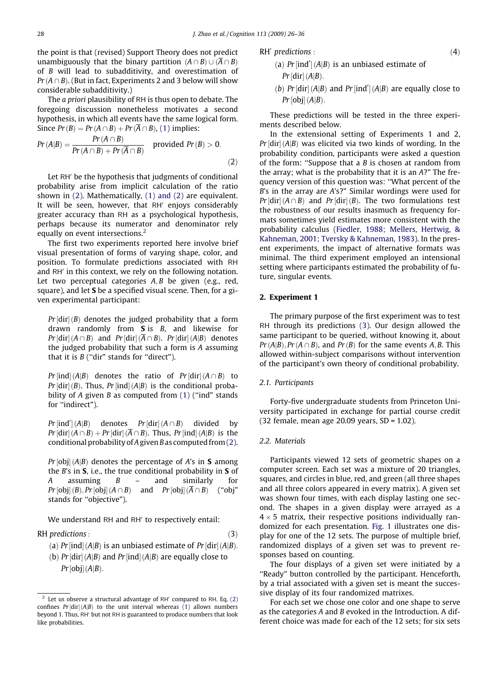<span id="page-2-0"></span>the point is that (revised) Support Theory does not predict unambiguously that the binary partition  $(A \cap B) \cup (\overline{A} \cap B)$ of B will lead to subadditivity, and overestimation of  $Pr(A \cap B)$ . (But in fact, Experiments 2 and 3 below will show considerable subadditivity.)

The a priori plausibility of RH is thus open to debate. The foregoing discussion nonetheless motivates a second hypothesis, in which all events have the same logical form. Since  $Pr(B) = Pr(A \cap B) + Pr(\overline{A} \cap B)$ , [\(1\)](#page-1-0) implies:<br> $Pr(A \cap B)$ 

$$
Pr(A|B) = \frac{Pr(A \cap B)}{Pr(A \cap B) + Pr(\overline{A} \cap B)}
$$
 provided  $Pr(B) > 0.$  (2)

Let RH<sup>'</sup> be the hypothesis that judgments of conditional probability arise from implicit calculation of the ratio shown in (2). Mathematically, [\(1\) and \(2\)](#page-1-0) are equivalent. It will be seen, however, that RH' enjoys considerably greater accuracy than RH as a psychological hypothesis, perhaps because its numerator and denominator rely equally on event intersections.<sup>2</sup>

The first two experiments reported here involve brief visual presentation of forms of varying shape, color, and position. To formulate predictions associated with RH and RH<sup>'</sup> in this context, we rely on the following notation. Let two perceptual categories  $A, B$  be given (e.g., red, square), and let S be a specified visual scene. Then, for a given experimental participant:

 $Pr\left[dir\right](B)$  denotes the judged probability that a form drawn randomly from  $S$  is  $B$ , and likewise for  $Pr\left[dir\right](A \cap B)$  and  $Pr\left[dir\right](A \cap B)$ .  $Pr\left[dir\right](A|B)$  denotes the judged probability that such a form is A assuming that it is  $B$  ("dir" stands for "direct").

Pr [ind]  $(A|B)$  denotes the ratio of Pr [dir]  $(A \cap B)$  to  $Pr\left[dir\right](B)$ . Thus,  $Pr\left[ind\right](A|B)$  is the conditional probability of A given B as computed from  $(1)$  ("ind" stands for "indirect").

 $Pr$ [ind'](A|B) denotes  $Pr$ [dir] divided by  $Pr\left[dir\right](A \cap B) + Pr\left[dir\right](A \cap B)$ . Thus,  $Pr\left[ind\right](A|B)$  is the conditional probability of A given B as computed from  $(2)$ .

Pr[obj] (A|B) denotes the percentage of A's in **S** among the  $B$ 's in  $S$ , i.e., the true conditional probability in  $S$  of A assuming  $B -$  and similarly for  $Pr[\text{obj}](B), Pr[\text{obj}](A \cap B)$  and  $Pr[\text{obj}](A \cap B)$  ("obj" stands for ''objective").

We understand RH and RH' to respectively entail:

RH predictions :  $(3)$ 

(a) Pr [ind]  $(A|B)$  is an unbiased estimate of Pr [dir]  $(A|B)$ .

(b)  $Pr[dir](A|B)$  and  $Pr[ind](A|B)$  are equally close to  $Pr[obj](A|B)$ .

- $RH'$  predictions :  $(4)$ 
	- (a)  $Pr$ [ind']( $A|B$ ) is an unbiased estimate of  $Pr$ [dir] (A|B).
	- (b)  $Pr[\text{dir}] (A|B)$  and  $Pr[\text{ind}'] (A|B)$  are equally close to  $Pr[obj](A|B)$ .

These predictions will be tested in the three experiments described below.

In the extensional setting of Experiments 1 and 2,  $Pr[\text{dir}](A|B)$  was elicited via two kinds of wording. In the probability condition, participants were asked a question of the form: "Suppose that a  $B$  is chosen at random from the array; what is the probability that it is an A?" The frequency version of this question was: ''What percent of the B's in the array are A's?" Similar wordings were used for  $Pr[\text{dir}](A \cap B)$  and  $Pr[\text{dir}](B)$ . The two formulations test the robustness of our results inasmuch as frequency formats sometimes yield estimates more consistent with the probability calculus ([Fiedler, 1988; Mellers, Hertwig, &](#page-10-0) [Kahneman, 2001; Tversky & Kahneman, 1983](#page-10-0)). In the present experiments, the impact of alternative formats was minimal. The third experiment employed an intensional setting where participants estimated the probability of future, singular events.

# 2. Experiment 1

The primary purpose of the first experiment was to test RH through its predictions (3). Our design allowed the same participant to be queried, without knowing it, about  $Pr(A|B)$ ,  $Pr(A \cap B)$ , and  $Pr(B)$  for the same events A, B. This allowed within-subject comparisons without intervention of the participant's own theory of conditional probability.

#### 2.1. Participants

Forty-five undergraduate students from Princeton University participated in exchange for partial course credit (32 female, mean age 20.09 years, SD = 1.02).

# 2.2. Materials

Participants viewed 12 sets of geometric shapes on a computer screen. Each set was a mixture of 20 triangles, squares, and circles in blue, red, and green (all three shapes and all three colors appeared in every matrix). A given set was shown four times, with each display lasting one second. The shapes in a given display were arrayed as a  $4 \times 5$  matrix, their respective positions individually randomized for each presentation. [Fig. 1](#page-3-0) illustrates one display for one of the 12 sets. The purpose of multiple brief, randomized displays of a given set was to prevent responses based on counting.

The four displays of a given set were initiated by a "Ready" button controlled by the participant. Henceforth, by a trial associated with a given set is meant the successive display of its four randomized matrixes.

For each set we chose one color and one shape to serve as the categories A and B evoked in the Introduction. A different choice was made for each of the 12 sets; for six sets

Let us observe a structural advantage of  $RH'$  compared to  $RH$ . Eq. (2) confines  $Pr[\text{dir}](A|B)$  to the unit interval whereas [\(1\)](#page-1-0) allows numbers beyond 1. Thus, RH' but not RH is guaranteed to produce numbers that look like probabilities.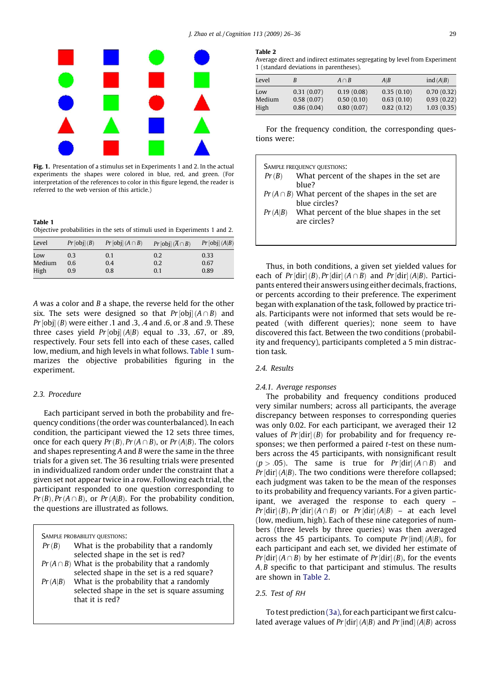<span id="page-3-0"></span>

Fig. 1. Presentation of a stimulus set in Experiments 1 and 2. In the actual experiments the shapes were colored in blue, red, and green. (For interpretation of the references to color in this figure legend, the reader is referred to the web version of this article.)

Table 1 Objective probabilities in the sets of stimuli used in Experiments 1 and 2.

| Level  | Pr[obj](B) | $Pr[obj](A \cap B)$ | $Pr[obj](\overline{A} \cap B)$ | Pr[obj](A B) |
|--------|------------|---------------------|--------------------------------|--------------|
| Low    | 0.3        | 0.1                 | 0.2                            | 0.33         |
| Medium | 0.6        | 0.4                 | 0.2                            | 0.67         |
| High   | 0.9        | 0.8                 | 0.1                            | 0.89         |

 $A$  was a color and  $B$  a shape, the reverse held for the other six. The sets were designed so that  $Pr[\text{obj}](A \cap B)$  and Pr [obj] (B) were either .1 and .3, .4 and .6, or .8 and .9. These three cases yield  $Pr\left[\textrm{obj}\right]\left(A|B\right)$  equal to .33, .67, or .89, respectively. Four sets fell into each of these cases, called low, medium, and high levels in what follows. Table 1 summarizes the objective probabilities figuring in the experiment.

# 2.3. Procedure

Each participant served in both the probability and frequency conditions (the order was counterbalanced). In each condition, the participant viewed the 12 sets three times, once for each query  $Pr(B)$ ,  $Pr(A \cap B)$ , or  $Pr(A|B)$ . The colors and shapes representing A and B were the same in the three trials for a given set. The 36 resulting trials were presented in individualized random order under the constraint that a given set not appear twice in a row. Following each trial, the participant responded to one question corresponding to  $Pr(B), Pr(A \cap B)$ , or  $Pr(A|B)$ . For the probability condition, the questions are illustrated as follows.

SAMPLE PROBABILITY OUESTIONS:

that it is red?

| Pr(B)   | What is the probability that a randomly                |
|---------|--------------------------------------------------------|
|         | selected shape in the set is red?                      |
|         | $Pr(A \cap B)$ What is the probability that a randomly |
|         | selected shape in the set is a red square?             |
| Pr(A B) | What is the probability that a randomly                |
|         | colocted chang in the set is square assuming           |

selected shape in the set is square assuming

## Table 2

Average direct and indirect estimates segregating by level from Experiment 1 (standard deviations in parentheses).

| Level  |            | $A \cap B$ | A B        | ind $(A B)$ |
|--------|------------|------------|------------|-------------|
| Low    | 0.31(0.07) | 0.19(0.08) | 0.35(0.10) | 0.70(0.32)  |
| Medium | 0.58(0.07) | 0.50(0.10) | 0.63(0.10) | 0.93(0.22)  |
| High   | 0.86(0.04) | 0.80(0.07) | 0.82(0.12) | 1.03(0.35)  |

For the frequency condition, the corresponding questions were:

| Pr(B) | What percent of the shapes in the set are.<br>blue?                       |
|-------|---------------------------------------------------------------------------|
|       | $Pr(A \cap B)$ What percent of the shapes in the set are<br>blue circles? |
|       | $Pr(A B)$ What percent of the blue shapes in the set<br>are circles?      |

Thus, in both conditions, a given set yielded values for each of  $Pr[\text{dir}](B), Pr[\text{dir}](A \cap B)$  and  $Pr[\text{dir}](A|B)$ . Participants entered their answers using either decimals, fractions, or percents according to their preference. The experiment began with explanation of the task, followed by practice trials. Participants were not informed that sets would be repeated (with different queries); none seem to have discovered this fact. Between the two conditions (probability and frequency), participants completed a 5 min distraction task.

# 2.4. Results

# 2.4.1. Average responses

The probability and frequency conditions produced very similar numbers; across all participants, the average discrepancy between responses to corresponding queries was only 0.02. For each participant, we averaged their 12 values of  $Pr[\text{dir}](B)$  for probability and for frequency responses; we then performed a paired  $t$ -test on these numbers across the 45 participants, with nonsignificant result  $(p > .05)$ . The same is true for  $Pr[\text{dir}](A \cap B)$  and  $Pr\left[dir\right](A|B)$ . The two conditions were therefore collapsed; each judgment was taken to be the mean of the responses to its probability and frequency variants. For a given participant, we averaged the response to each query –  $Pr\left[{\rm dir}\right](B), Pr\left[{\rm dir}\right](A\cap B)$  or  $Pr\left[{\rm dir}\right](A|B)$  – at each level (low, medium, high). Each of these nine categories of numbers (three levels by three queries) was then averaged across the 45 participants. To compute  $Pr[\text{ind}](A|B)$ , for each participant and each set, we divided her estimate of Pr [dir]  $(A \cap B)$  by her estimate of Pr [dir]  $(B)$ , for the events  $A, B$  specific to that participant and stimulus. The results are shown in Table 2.

# 2.5. Test of RH

To test prediction [\(3a\),](#page-2-0) for each participant we first calculated average values of Pr [dir]  $(A|B)$  and Pr [ind]  $(A|B)$  across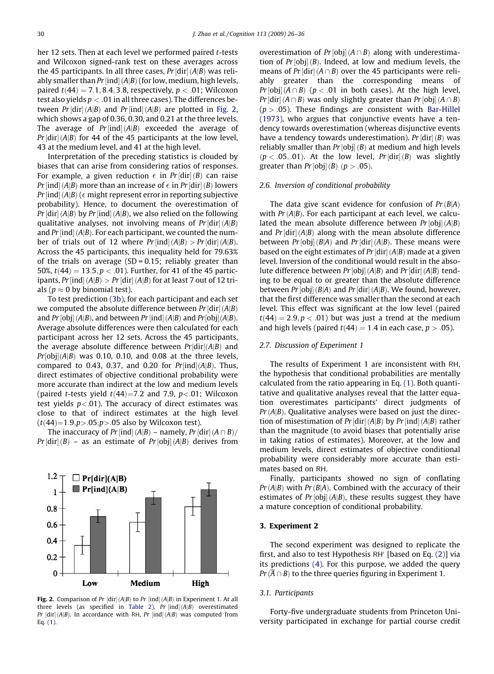her 12 sets. Then at each level we performed paired t-tests and Wilcoxon signed-rank test on these averages across the 45 participants. In all three cases,  $Pr\left[{\rm dir}\right](A|B)$  was reliably smaller than Pr [ind] (A|B) (for low, medium, high levels, paired  $t(44) = 7.1, 8.4, 3.8$ , respectively,  $p < .01$ ; Wilcoxon test also yields  $p < 0.01$  in all three cases). The differences between Pr[dir](A|B) and Pr[ind](A|B) are plotted in Fig. 2, which shows a gap of 0.36, 0.30, and 0.21 at the three levels. The average of  $Pr[\text{ind}](A|B)$  exceeded the average of Pr [dir] (A|B) for 44 of the 45 participants at the low level, 43 at the medium level, and 41 at the high level.

Interpretation of the preceding statistics is clouded by biases that can arise from considering ratios of responses. For example, a given reduction  $\epsilon$  in Pr[dir](B) can raise Pr [ind] (A|B) more than an increase of  $\epsilon$  in Pr [dir] (B) lowers  $Pr$  [ind] (A|B) ( $\epsilon$  might represent error in reporting subjective probability). Hence, to document the overestimation of Pr [dir] (A|B) by Pr [ind] (A|B), we also relied on the following qualitative analyses, not involving means of  $Pr[\text{dir}](A|B)$ and Pr [ind] (A|B). For each participant, we counted the number of trials out of 12 where  $Pr$ [ind]( $A|B$ ) >  $Pr$ [dir]( $A|B$ ). Across the 45 participants, this inequality held for 79.63% of the trials on average  $(SD = 0.15$ ; reliably greater than 50%,  $t(44) = 13.5, p < .01$ ). Further, for 41 of the 45 participants, Pr [ind] (A|B)  $>$  Pr [dir] (A|B) for at least 7 out of 12 trials ( $p \approx 0$  by binomial test).

To test prediction [\(3b\)](#page-2-0), for each participant and each set we computed the absolute difference between Pr [dir]  $(A|B)$ and Pr[obj] (A|B), and between Pr[ind] (A|B) and Pr[obj](A|B). Average absolute differences were then calculated for each participant across her 12 sets. Across the 45 participants, the average absolute difference between  $Pr[dir](A|B)$  and  $Pr[\mathrm{obj}](A|B)$  was 0.10, 0.10, and 0.08 at the three levels, compared to 0.43, 0.37, and 0.20 for  $Pr[ind](A|B)$ . Thus, direct estimates of objective conditional probability were more accurate than indirect at the low and medium levels (paired t-tests yield  $t(44)=7.2$  and 7.9,  $p<.01$ ; Wilcoxon test yields  $p < .01$ ). The accuracy of direct estimates was close to that of indirect estimates at the high level  $(t/44)=1.9, p > .05; p > .05$  also by Wilcoxon test).

The inaccuracy of Pr [ind] (A|B) – namely, Pr [dir] (A  $\cap$  B)/  $Pr\left[{\rm dir}\right](B)$  – as an estimate of  $Pr\left[{\rm obj}\right](A|B)$  derives from



**Fig. 2.** Comparison of Pr  $\left[ \text{dir} \right](A|B)$  to Pr  $\left[ \text{ind} \right](A|B)$  in Experiment 1. At all three levels (as specified in [Table 2](#page-3-0)), Pr  $\left[ \text{ind} \right] (A|B)$  overestimated Pr  $\left[{\rm dir}\right](A|B)$ . In accordance with RH, Pr  $\left[{\rm ind}\right](A|B)$  was computed from Eq. [\(1\).](#page-1-0)

overestimation of  $Pr[\text{obj}](A \cap B)$  along with underestimation of  $Pr[obj](B)$ . Indeed, at low and medium levels, the means of Pr [dir]  $(A \cap B)$  over the 45 participants were reliably greater than the corresponding means of  $Pr[\text{obj}](A \cap B)$  ( $p < .01$  in both cases). At the high level, Pr [dir]  $(A \cap B)$  was only slightly greater than Pr [obj]  $(A \cap B)$  $(p > .05)$ . These findings are consistent with [Bar-Hillel](#page-9-0) [\(1973\)](#page-9-0), who argues that conjunctive events have a tendency towards overestimation (whereas disjunctive events have a tendency towards underestimation). Pr  $\left[ \text{dir} \right](B)$  was reliably smaller than  $Pr$  [obj]  $(B)$  at medium and high levels  $(p < .05, .01)$ . At the low level,  $Pr[dir](B)$  was slightly greater than  $Pr$ [obj] (*B*) ( $p > .05$ ).

# 2.6. Inversion of conditional probability

The data give scant evidence for confusion of  $Pr(B|A)$ with  $Pr(A|B)$ . For each participant at each level, we calculated the mean absolute difference between  $Pr[obj](A|B)$ and  $Pr[\text{dir}] (A|B)$  along with the mean absolute difference between  $Pr[obj](B|A)$  and  $Pr[dir](A|B)$ . These means were based on the eight estimates of Pr [dir] (A|B) made at a given level. Inversion of the conditional would result in the absolute difference between Pr [obj]  $(A|B)$  and Pr [dir]  $(A|B)$  tending to be equal to or greater than the absolute difference between  $Pr[obj](B|A)$  and  $Pr[dir](A|B)$ . We found, however, that the first difference was smaller than the second at each level. This effect was significant at the low level (paired  $t(44) = 2.9, p < .01$ ) but was just a trend at the medium and high levels (paired  $t(44) = 1.4$  in each case,  $p > .05$ ).

# 2.7. Discussion of Experiment 1

The results of Experiment 1 are inconsistent with RH, the hypothesis that conditional probabilities are mentally calculated from the ratio appearing in Eq. [\(1\).](#page-1-0) Both quantitative and qualitative analyses reveal that the latter equation overestimates participants' direct judgments of  $Pr(A|B)$ . Qualitative analyses were based on just the direction of misestimation of Pr [dir]  $(A|B)$  by Pr [ind]  $(A|B)$  rather than the magnitude (to avoid biases that potentially arise in taking ratios of estimates). Moreover, at the low and medium levels, direct estimates of objective conditional probability were considerably more accurate than estimates based on RH.

Finally, participants showed no sign of conflating  $Pr(A|B)$  with  $Pr(B|A)$ . Combined with the accuracy of their estimates of  $Pr[obj](A|B)$ , these results suggest they have a mature conception of conditional probability.

#### 3. Experiment 2

The second experiment was designed to replicate the first, and also to test Hypothesis RH $\prime$  [based on Eq. [\(2\)\]](#page-2-0) via its predictions [\(4\)](#page-2-0). For this purpose, we added the query  $Pr(\overline{A} \cap B)$  to the three queries figuring in Experiment 1.

# 3.1. Participants

Forty-five undergraduate students from Princeton University participated in exchange for partial course credit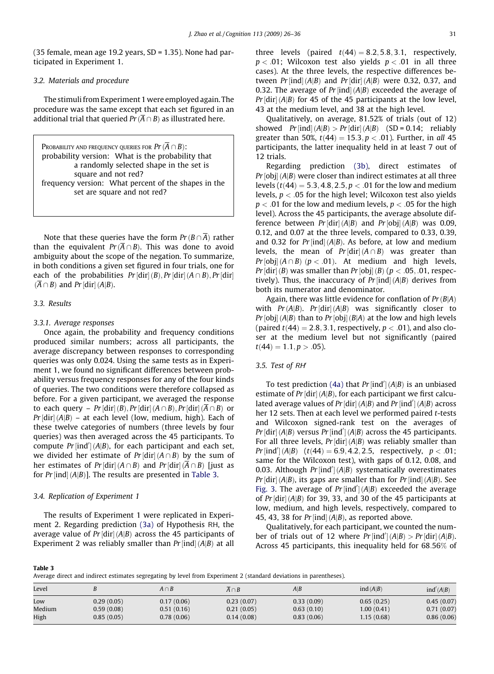(35 female, mean age 19.2 years, SD = 1.35). None had participated in Experiment 1.

# 3.2. Materials and procedure

The stimuli from Experiment 1 were employed again. The procedure was the same except that each set figured in an additional trial that queried  $Pr(\overline{A} \cap B)$  as illustrated here.

PROBABILITY AND FREQUENCY QUERIES FOR  $Pr(\overline{A} \cap B)$ : probability version: What is the probability that a randomly selected shape in the set is square and not red? frequency version: What percent of the shapes in the set are square and not red?

Note that these queries have the form  $Pr(B \cap \overline{A})$  rather than the equivalent  $Pr(\overline{A} \cap B)$ . This was done to avoid ambiguity about the scope of the negation. To summarize, in both conditions a given set figured in four trials, one for each of the probabilities  $Pr\left[{\rm dir}\right](B), Pr\left[{\rm dir}\right](A\cap B), Pr\left[{\rm dir}\right]$  $(A \cap B)$  and Pr [dir]  $(A|B)$ .

# 3.3. Results

### 3.3.1. Average responses

Once again, the probability and frequency conditions produced similar numbers; across all participants, the average discrepancy between responses to corresponding queries was only 0.024. Using the same tests as in Experiment 1, we found no significant differences between probability versus frequency responses for any of the four kinds of queries. The two conditions were therefore collapsed as before. For a given participant, we averaged the response to each query –  $Pr\left[{\rm dir}\right](B), Pr\left[{\rm dir}\right](A\cap B), Pr\left[{\rm dir}\right](A\cap B)$  or  $\Pr\left[ \text{dir} \right] (A | B)$  – at each level (low, medium, high). Each of these twelve categories of numbers (three levels by four queries) was then averaged across the 45 participants. To compute  $Pr$ [ind'](A|B), for each participant and each set, we divided her estimate of Pr[dir]( $A \cap B$ ) by the sum of her estimates of Pr[dir]( $A \cap B$ ) and Pr[dir]( $A \cap B$ ) [just as for Pr [ind]  $(A|B)$ ]. The results are presented in Table 3.

#### 3.4. Replication of Experiment 1

The results of Experiment 1 were replicated in Experiment 2. Regarding prediction [\(3a\)](#page-2-0) of Hypothesis RH, the average value of Pr [dir] (A|B) across the 45 participants of Experiment 2 was reliably smaller than  $Pr[\text{ind}](A|B)$  at all

three levels (paired  $t(44) = 8.2, 5.8, 3.1$ , respectively,  $p < .01$ ; Wilcoxon test also yields  $p < .01$  in all three cases). At the three levels, the respective differences between  $Pr$ [ind](A|B) and  $Pr$ [dir](A|B) were 0.32, 0.37, and 0.32. The average of Pr [ind] (A|B) exceeded the average of  $Pr\left[{\rm dir}\right](A|B)$  for 45 of the 45 participants at the low level, 43 at the medium level, and 38 at the high level.

Qualitatively, on average, 81.52% of trials (out of 12) showed  $Pr$ [ind] (A|B) > Pr[dir] (A|B) (SD = 0.14; reliably greater than 50%,  $t(44) = 15.3, p < .01$ ). Further, in all 45 participants, the latter inequality held in at least 7 out of 12 trials.

Regarding prediction [\(3b\),](#page-2-0) direct estimates of Pr [obj] (A|B) were closer than indirect estimates at all three levels ( $t(44) = 5.3, 4.8, 2.5, p < .01$  for the low and medium levels,  $p < .05$  for the high level; Wilcoxon test also yields  $p < 0.01$  for the low and medium levels,  $p < 0.05$  for the high level). Across the 45 participants, the average absolute difference between  $Pr[\text{dir}](A|B)$  and  $Pr[\text{obj}](A|B)$  was 0.09, 0.12, and 0.07 at the three levels, compared to 0.33, 0.39, and 0.32 for  $Pr$ [ind]( $A|B$ ). As before, at low and medium levels, the mean of  $Pr\left[{\rm dir}\right](A\cap B)$  was greater than  $Pr[\text{obj}](A \cap B)$   $(p < .01)$ . At medium and high levels, Pr [dir] (B) was smaller than Pr [obj] (B) ( $p < .05, .01$ , respectively). Thus, the inaccuracy of  $Pr$  [ind] (A|B) derives from both its numerator and denominator.

Again, there was little evidence for conflation of  $Pr(B|A)$ with  $Pr(A|B)$ .  $Pr[dir](A|B)$  was significantly closer to  $Pr\left[\text{obj}\right](A|B)$  than to  $Pr\left[\text{obj}\right](B|A)$  at the low and high levels (paired  $t(44) = 2.8, 3.1$ , respectively,  $p < .01$ ), and also closer at the medium level but not significantly (paired  $t(44) = 1.1, p > .05$ ).

# 3.5. Test of RH

To test prediction [\(4a\)](#page-2-0) that  $Pr$ [ind'] (A|B) is an unbiased estimate of Pr [dir] (A|B), for each participant we first calculated average values of Pr [dir]  $(A|B)$  and Pr [ind']  $(A|B)$  across her 12 sets. Then at each level we performed paired t-tests and Wilcoxon signed-rank test on the averages of  $Pr[dir](A|B)$  versus  $Pr[ind'](A|B)$  across the 45 participants. For all three levels,  $Pr\left[dir\right](A|B)$  was reliably smaller than  $Pr$ [ind'](A|B) (t(44) = 6.9, 4.2, 2.5, respectively,  $p < .01$ ; same for the Wilcoxon test), with gaps of 0.12, 0.08, and 0.03. Although  $Pr$ [ind'](A|B) systematically overestimates Pr [dir] (A|B), its gaps are smaller than for Pr [ind] (A|B). See [Fig. 3](#page-6-0). The average of  $Pr$ [ind']( $A|B$ ) exceeded the average of  $Pr[\text{dir}](A|B)$  for 39, 33, and 30 of the 45 participants at low, medium, and high levels, respectively, compared to 45, 43, 38 for  $Pr$  [ind] (A|B), as reported above.

Qualitatively, for each participant, we counted the number of trials out of 12 where  $Pr[ind'] (A|B) > Pr[dir] (A|B)$ . Across 45 participants, this inequality held for 68:56% of

Table 3

Average direct and indirect estimates segregating by level from Experiment 2 (standard deviations in parentheses).

| Level  |            | $A \cap B$ | $A \cap B$ | A B        | ind $(A B)$ | ind'(A B)  |
|--------|------------|------------|------------|------------|-------------|------------|
| Low    | 0.29(0.05) | 0.17(0.06) | 0.23(0.07) | 0.33(0.09) | 0.65(0.25)  | 0.45(0.07) |
| Medium | 0.59(0.08) | 0.51(0.16) | 0.21(0.05) | 0.63(0.10) | 1.00(0.41)  | 0.71(0.07) |
| High   | 0.85(0.05) | 0.78(0.06) | 0.14(0.08) | 0.83(0.06) | 1.15(0.68)  | 0.86(0.06) |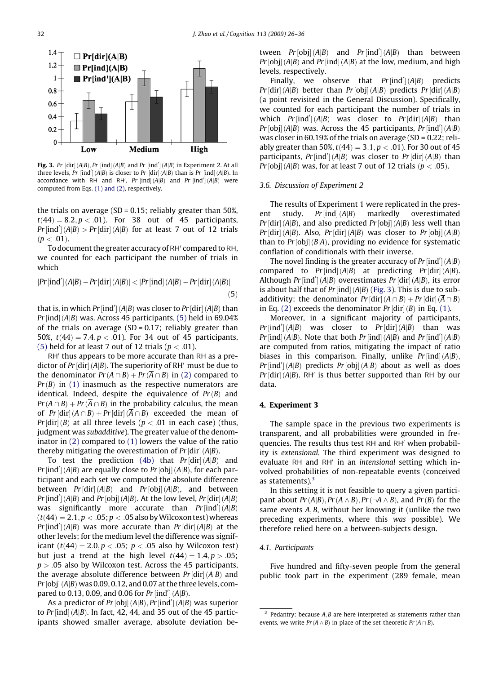<span id="page-6-0"></span>

Fig. 3. Pr  $\left[ \text{dir} \right](A|B)$ , Pr  $\left[ \text{ind} \right](A|B)$  and Pr  $\left[ \text{ind}' \right](A|B)$  in Experiment 2. At all three levels, Pr  $[ind'](A|B)$  is closer to Pr  $[dir](A|B)$  than is Pr  $[ind](A|B)$ . In accordance with RH and RH', Pr  $[ind](A|B)$  and Pr  $[ind'](A|B)$  were computed from Eqs. [\(1\) and \(2\)](#page-1-0), respectively.

the trials on average (SD =  $0.15$ ; reliably greater than 50%,  $t(44) = 8.2, p < .01$ . For 38 out of 45 participants,  $Pr$ [ind'](A|B) >  $Pr$ [dir](A|B) for at least 7 out of 12 trials  $(p < .01)$ .

To document the greater accuracy of RH<sup>'</sup> compared to RH, we counted for each participant the number of trials in which

$$
|Pr[\text{ind}'] (A|B) - Pr[\text{dir}] (A|B)| < |Pr[\text{ind}] (A|B) - Pr[\text{dir}] (A|B)|
$$
\n(5)

that is, in which  $Pr$  [ind'] (A|B) was closer to  $Pr$  [dir] (A|B) than Pr [ind] (A|B) was. Across 45 participants, (5) held in 69.04% of the trials on average  $(SD = 0.17$ ; reliably greater than 50%,  $t(44) = 7.4, p < .01$ ). For 34 out of 45 participants, (5) held for at least 7 out of 12 trials ( $p < .01$ ).

RH' thus appears to be more accurate than RH as a predictor of Pr  $\left[ \text{dir} \right]$  (A|B). The superiority of RH $\prime$  must be due to the denominator  $Pr(A \cap B) + Pr(\overline{A} \cap B)$  in [\(2\)](#page-2-0) compared to  $Pr(B)$  in [\(1\)](#page-1-0) inasmuch as the respective numerators are identical. Indeed, despite the equivalence of  $Pr(B)$  and  $Pr(A \cap B) + Pr(\overline{A} \cap B)$  in the probability calculus, the mean of  $Pr[dir](A \cap B) + Pr[dir](A \cap B)$  exceeded the mean of *Pr* [dir] (*B*) at all three levels (*p* < .01 in each case) (thus, judgment was subadditive). The greater value of the denominator in [\(2\)](#page-2-0) compared to [\(1\)](#page-1-0) lowers the value of the ratio thereby mitigating the overestimation of Pr  $\left[ \text{dir} \right] (A|B).$ 

To test the prediction [\(4b\)](#page-2-0) that  $Pr\left[{\rm dir}\right](A|B)$  and Pr [ind'] (A|B) are equally close to Pr [obj] (A|B), for each participant and each set we computed the absolute difference between  $Pr[\text{dir}](A|B)$  and  $Pr[\text{obj}](A|B)$ , and between  $Pr$ [ind'] (A|B) and  $Pr$ [obj] (A|B). At the low level,  $Pr$ [dir] (A|B) was significantly more accurate than  $Pr[ind'] (A|B)$  $(t(44) = 2.1, p < .05; p < .05$  also by Wilcoxon test) whereas  $Pr$ [ind'](A|B) was more accurate than  $Pr$ [dir](A|B) at the other levels; for the medium level the difference was significant ( $t(44) = 2.0, p < .05; p < .05$  also by Wilcoxon test) but just a trend at the high level  $t(44) = 1.4, p > .05$ ;  $p > 0.05$  also by Wilcoxon test. Across the 45 participants, the average absolute difference between  $Pr\left[{\rm dir}\right](A|B)$  and Pr  $[{\rm obj}]$  (A|B) was 0.09, 0.12, and 0.07 at the three levels, compared to 0.13, 0.09, and 0.06 for  $Pr[ind'] (A|B)$ .

As a predictor of  $Pr[obj](A|B)$ ,  $Pr[ind'](A|B)$  was superior to  $Pr$ [ind] (A|B). In fact, 42, 44, and 35 out of the 45 participants showed smaller average, absolute deviation between  $Pr[obj](A|B)$  and  $Pr[ind'](A|B)$  than between  $Pr[\text{obj}](A|B)$  and  $Pr[\text{ind}](A|B)$  at the low, medium, and high levels, respectively.

Finally, we observe that  $Pr[ind'] (A|B)$  predicts  $Pr\left[dir\right](A|B)$  better than  $Pr\left[obj\right](A|B)$  predicts  $Pr\left[dir\right](A|B)$ (a point revisited in the General Discussion). Specifically, we counted for each participant the number of trials in which  $Pr$ [ind'](A|B) was closer to  $Pr$ [dir](A|B) than  $Pr[obj](A|B)$  was. Across the 45 participants,  $Pr[ind'] (A|B)$ was closer in 60.19% of the trials on average (SD = 0.22; reliably greater than 50%,  $t(44) = 3.1, p < .01$ ). For 30 out of 45 participants,  $Pr$ [ind'](A|B) was closer to  $Pr$ [dir](A|B) than *Pr* [obj] (*A*|*B*) was, for at least 7 out of 12 trials ( $p < .05$ ).

### 3.6. Discussion of Experiment 2

The results of Experiment 1 were replicated in the present study.  $Pr$ [ind]  $(A|B)$ markedly overestimated  $Pr\left[dir\right](A|B)$ , and also predicted  $Pr\left[obj\right](A|B)$  less well than  $Pr[\text{dir}](A|B)$ . Also,  $Pr[\text{dir}](A|B)$  was closer to  $Pr[\text{obj}](A|B)$ than to  $Pr[obj](B|A)$ , providing no evidence for systematic conflation of conditionals with their inverse.

The novel finding is the greater accuracy of  $Pr$  [ind'] (A|B) compared to  $Pr[\text{ind}](A|B)$  at predicting  $Pr[\text{dir}](A|B)$ . Although  $Pr$ [ind'] (A|B) overestimates  $Pr$ [dir] (A|B), its error is about half that of Pr [ind]  $(A|B)$  (Fig. 3). This is due to subadditivity: the denominator  $Pr[\text{dir}](A \cap B) + Pr[\text{dir}](A \cap B)$ in Eq. [\(2\)](#page-2-0) exceeds the denominator  $Pr[\text{dir}](B)$  in Eq. [\(1\).](#page-1-0)

Moreover, in a significant majority of participants,  $Pr[\text{ind}'] (A|B)$  was closer to  $Pr[\text{dir}] (A|B)$  than was Pr [ind] (A|B). Note that both Pr [ind] (A|B) and Pr [ind'] (A|B) are computed from ratios, mitigating the impact of ratio biases in this comparison. Finally, unlike  $Pr$ [ind]( $A|B$ ),  $Pr$ [ind'](A|B) predicts  $Pr$ [obj](A|B) about as well as does  $Pr\left[dir\right](A|B)$ . RH' is thus better supported than RH by our data.

# 4. Experiment 3

The sample space in the previous two experiments is transparent, and all probabilities were grounded in frequencies. The results thus test RH and RH' when probability is extensional. The third experiment was designed to evaluate RH and RH' in an intensional setting which involved probabilities of non-repeatable events (conceived as statements). $3$ 

In this setting it is not feasible to query a given participant about  $Pr(A|B)$ ,  $Pr(A \wedge B)$ ,  $Pr(\neg A \wedge B)$ , and  $Pr(B)$  for the same events  $A, B$ , without her knowing it (unlike the two preceding experiments, where this was possible). We therefore relied here on a between-subjects design.

#### 4.1. Participants

Five hundred and fifty-seven people from the general public took part in the experiment (289 female, mean

 $3$  Pedantry: because A, B are here interpreted as statements rather than events, we write  $Pr(A \wedge B)$  in place of the set-theoretic  $Pr(A \cap B)$ .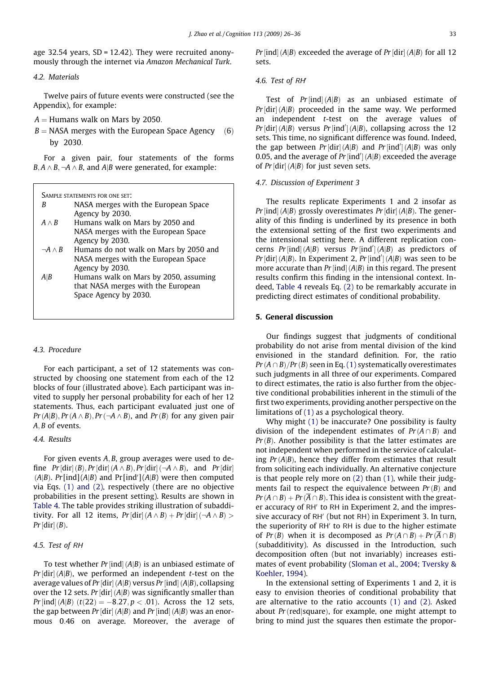<span id="page-7-0"></span>age 32.54 years, SD = 12.42). They were recruited anonymously through the internet via Amazon Mechanical Turk.

# 4.2. Materials

Twelve pairs of future events were constructed (see the Appendix), for example:

 $A =$  Humans walk on Mars by 2050.

 $B = NASA$  merges with the European Space Agency  $(6)$ by 2030:

For a given pair, four statements of the forms  $B, A \wedge B, \neg A \wedge B$ , and A|B were generated, for example:

| NASA merges with the European Space |
|-------------------------------------|
| Agency by 2030.                     |
| Humans walk on Mars by 2050 and     |

- $A \wedge B$  Humans walk on Mars by 2050 and NASA merges with the European Space Agency by 2030.
- $\neg A \wedge B$  Humans do not walk on Mars by 2050 and NASA merges with the European Space Agency by 2030.
- $A$ <sub> $B$ </sub> Humans walk on Mars by 2050, assuming that NASA merges with the European Space Agency by 2030.

# 4.3. Procedure

For each participant, a set of 12 statements was constructed by choosing one statement from each of the 12 blocks of four (illustrated above). Each participant was invited to supply her personal probability for each of her 12 statements. Thus, each participant evaluated just one of  $Pr(A|B)$ ,  $Pr(A \wedge B)$ ,  $Pr(\neg A \wedge B)$ , and  $Pr(B)$  for any given pair A<sub> $B$ </sub> of events.

# 4.4. Results

For given events  $A, B$ , group averages were used to define  $Pr[\text{dir}](B), Pr[\text{dir}](A \wedge B), Pr[\text{dir}](\neg A \wedge B)$ , and  $Pr[\text{dir}]$  $(A|B)$ . Pr[ind] $(A|B)$  and Pr[ind'] $(A|B)$  were then computed via Eqs. [\(1\) and \(2\),](#page-1-0) respectively (there are no objective probabilities in the present setting). Results are shown in [Table 4](#page-8-0). The table provides striking illustration of subadditivity. For all 12 items,  $Pr[\text{dir}](A \wedge B) + Pr[\text{dir}](\neg A \wedge B) >$  $Pr\left[ \operatorname{dir} \right] (B).$ 

# 4.5. Test of RH

To test whether Pr [ind] (A|B) is an unbiased estimate of Pr [dir] (A|B), we performed an independent t-test on the average values of Pr [dir] (A|B) versus Pr [ind] (A|B), collapsing over the 12 sets. Pr [dir] (A|B) was significantly smaller than Pr  $[{\rm ind}](A|B)$   $(t(22)=-8.27, p<.01)$ . Across the 12 sets, the gap between Pr [dir] (A|B) and Pr [ind] (A|B) was an enormous 0:46 on average. Moreover, the average of Pr [ind] (A|B) exceeded the average of Pr [dir] (A|B) for all 12  $\,$ sets.

# 4.6. Test of RH

Test of  $Pr[\operatorname{ind}](A|B)$  as an unbiased estimate of  $Pr\left[{\rm dir}\right](A|B)$  proceeded in the same way. We performed an independent t-test on the average values of  $Pr[\text{dir}](A|B)$  versus  $Pr[\text{ind}'](A|B)$ , collapsing across the 12 sets. This time, no significant difference was found. Indeed, the gap between  $Pr[\text{dir}](A|B)$  and  $Pr[\text{ind}'](A|B)$  was only 0.05, and the average of  $Pr$ [ind'] (A|B) exceeded the average of Pr  $\left[ \text{dir} \right]$  (A|B) for just seven sets.

#### 4.7. Discussion of Experiment 3

The results replicate Experiments 1 and 2 insofar as Pr [ind] (A|B) grossly overestimates Pr [dir] (A|B). The generality of this finding is underlined by its presence in both the extensional setting of the first two experiments and the intensional setting here. A different replication concerns  $Pr$ [ind]( $A|B$ ) versus  $Pr$ [ind']( $A|B$ ) as predictors of  $Pr[dir](A|B)$ . In Experiment 2,  $Pr[ind'](A|B)$  was seen to be more accurate than Pr [ind]  $(A|B)$  in this regard. The present results confirm this finding in the intensional context. Indeed, [Table 4](#page-8-0) reveals Eq. [\(2\)](#page-2-0) to be remarkably accurate in predicting direct estimates of conditional probability.

# 5. General discussion

Our findings suggest that judgments of conditional probability do not arise from mental division of the kind envisioned in the standard definition. For, the ratio  $Pr(A \cap B)/Pr(B)$  seen in Eq. [\(1\)](#page-1-0) systematically overestimates such judgments in all three of our experiments. Compared to direct estimates, the ratio is also further from the objective conditional probabilities inherent in the stimuli of the first two experiments, providing another perspective on the limitations of [\(1\)](#page-1-0) as a psychological theory.

Why might [\(1\)](#page-1-0) be inaccurate? One possibility is faulty division of the independent estimates of  $Pr(A \cap B)$  and  $Pr(B)$ . Another possibility is that the latter estimates are not independent when performed in the service of calculating  $Pr(A|B)$ , hence they differ from estimates that result from soliciting each individually. An alternative conjecture is that people rely more on [\(2\)](#page-2-0) than [\(1\),](#page-1-0) while their judgments fail to respect the equivalence between  $Pr(B)$  and  $Pr(A \cap B) + Pr(\overline{A} \cap B)$ . This idea is consistent with the greater accuracy of RH' to RH in Experiment 2, and the impressive accuracy of RH' (but not RH) in Experiment 3. In turn, the superiority of RH<sup>'</sup> to RH is due to the higher estimate of  $Pr(B)$  when it is decomposed as  $Pr(A \cap B) + Pr(\overline{A} \cap B)$ (subadditivity). As discussed in the Introduction, such decomposition often (but not invariably) increases estimates of event probability ([Sloman et al., 2004; Tversky &](#page-10-0) [Koehler, 1994](#page-10-0)).

In the extensional setting of Experiments 1 and 2, it is easy to envision theories of conditional probability that are alternative to the ratio accounts [\(1\) and \(2\)](#page-1-0). Asked about  $Pr$  (red|square), for example, one might attempt to bring to mind just the squares then estimate the propor-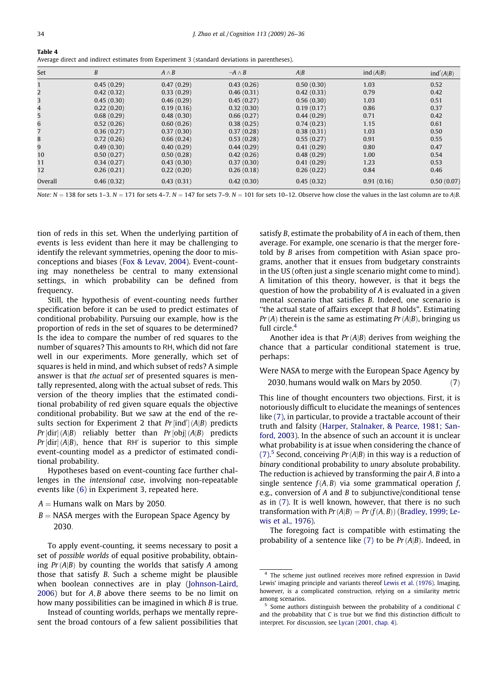<span id="page-8-0"></span>

| - Table 4                                                                                     |  |
|-----------------------------------------------------------------------------------------------|--|
| Average direct and indirect estimates from Experiment 3 (standard deviations in parentheses). |  |

| Set            | B          | $A \wedge B$ | $\neg A \wedge B$ | A B        | ind(A B)   | ind'(A B)  |
|----------------|------------|--------------|-------------------|------------|------------|------------|
|                | 0.45(0.29) | 0.47(0.29)   | 0.43(0.26)        | 0.50(0.30) | 1.03       | 0.52       |
| 2              | 0.42(0.32) | 0.33(0.29)   | 0.46(0.31)        | 0.42(0.33) | 0.79       | 0.42       |
| 3              | 0.45(0.30) | 0.46(0.29)   | 0.45(0.27)        | 0.56(0.30) | 1.03       | 0.51       |
| $\overline{4}$ | 0.22(0.20) | 0.19(0.16)   | 0.32(0.30)        | 0.19(0.17) | 0.86       | 0.37       |
| 5              | 0.68(0.29) | 0.48(0.30)   | 0.66(0.27)        | 0.44(0.29) | 0.71       | 0.42       |
| 6              | 0.52(0.26) | 0.60(0.26)   | 0.38(0.25)        | 0.74(0.23) | 1.15       | 0.61       |
| 7              | 0.36(0.27) | 0.37(0.30)   | 0.37(0.28)        | 0.38(0.31) | 1.03       | 0.50       |
| 8              | 0.72(0.26) | 0.66(0.24)   | 0.53(0.28)        | 0.55(0.27) | 0.91       | 0.55       |
| 9              | 0.49(0.30) | 0.40(0.29)   | 0.44(0.29)        | 0.41(0.29) | 0.80       | 0.47       |
| 10             | 0.50(0.27) | 0.50(0.28)   | 0.42(0.26)        | 0.48(0.29) | 1.00       | 0.54       |
| 11             | 0.34(0.27) | 0.43(0.30)   | 0.37(0.30)        | 0.41(0.29) | 1.23       | 0.53       |
| 12             | 0.26(0.21) | 0.22(0.20)   | 0.26(0.18)        | 0.26(0.22) | 0.84       | 0.46       |
| Overall        | 0.46(0.32) | 0.43(0.31)   | 0.42(0.30)        | 0.45(0.32) | 0.91(0.16) | 0.50(0.07) |

Note:  $N = 138$  for sets 1-3.  $N = 171$  for sets 4-7.  $N = 147$  for sets 7-9.  $N = 101$  for sets 10-12. Observe how close the values in the last column are to A|B.

tion of reds in this set. When the underlying partition of events is less evident than here it may be challenging to identify the relevant symmetries, opening the door to misconceptions and biases [\(Fox & Levav, 2004](#page-10-0)). Event-counting may nonetheless be central to many extensional settings, in which probability can be defined from frequency.

Still, the hypothesis of event-counting needs further specification before it can be used to predict estimates of conditional probability. Pursuing our example, how is the proportion of reds in the set of squares to be determined? Is the idea to compare the number of red squares to the number of squares? This amounts to RH, which did not fare well in our experiments. More generally, which set of squares is held in mind, and which subset of reds? A simple answer is that the actual set of presented squares is mentally represented, along with the actual subset of reds. This version of the theory implies that the estimated conditional probability of red given square equals the objective conditional probability. But we saw at the end of the results section for Experiment 2 that  $Pr[ind'] (A|B)$  predicts  $Pr\left[dir\right](A|B)$  reliably better than  $Pr\left[obj\right](A|B)$  predicts  $Pr[\text{dir}](A|B)$ , hence that RH' is superior to this simple event-counting model as a predictor of estimated conditional probability.

Hypotheses based on event-counting face further challenges in the intensional case, involving non-repeatable events like [\(6\)](#page-7-0) in Experiment 3, repeated here.

- $A =$  Humans walk on Mars by 2050.
- $B = NASA$  merges with the European Space Agency by 2030:

To apply event-counting, it seems necessary to posit a set of possible worlds of equal positive probability, obtaining  $Pr(A|B)$  by counting the worlds that satisfy A among those that satisfy B. Such a scheme might be plausible when boolean connectives are in play ([Johnson-Laird,](#page-10-0)  $2006$ ) but for  $A, B$  above there seems to be no limit on how many possibilities can be imagined in which B is true.

Instead of counting worlds, perhaps we mentally represent the broad contours of a few salient possibilities that

satisfy B, estimate the probability of A in each of them, then average. For example, one scenario is that the merger foretold by B arises from competition with Asian space programs, another that it ensues from budgetary constraints in the US (often just a single scenario might come to mind). A limitation of this theory, however, is that it begs the question of how the probability of A is evaluated in a given mental scenario that satisfies B. Indeed, one scenario is ''the actual state of affairs except that B holds". Estimating  $Pr(A)$  therein is the same as estimating  $Pr(A|B)$ , bringing us full circle.<sup>4</sup>

Another idea is that  $Pr(A|B)$  derives from weighing the chance that a particular conditional statement is true, perhaps:

Were NASA to merge with the European Space Agency by 2030, humans would walk on Mars by 2050.  $(7)$ 

This line of thought encounters two objections. First, it is notoriously difficult to elucidate the meanings of sentences like (7), in particular, to provide a tractable account of their truth and falsity [\(Harper, Stalnaker, & Pearce, 1981; San](#page-10-0)[ford, 2003\)](#page-10-0). In the absence of such an account it is unclear what probability is at issue when considering the chance of (7).<sup>5</sup> Second, conceiving  $Pr(A|B)$  in this way is a reduction of binary conditional probability to unary absolute probability. The reduction is achieved by transforming the pair  $A, B$  into a single sentence  $f(A, B)$  via some grammatical operation f, e.g., conversion of A and B to subjunctive/conditional tense as in (7). It is well known, however, that there is no such transformation with  $Pr(A|B) = Pr(f(A, B))$  [\(Bradley, 1999; Le](#page-9-0)[wis et al., 1976\)](#page-9-0).

The foregoing fact is compatible with estimating the probability of a sentence like  $(7)$  to be  $Pr(A|B)$ . Indeed, in

<sup>4</sup> The scheme just outlined receives more refined expression in David Lewis' imaging principle and variants thereof [Lewis et al. \(1976\)](#page-10-0). Imaging, however, is a complicated construction, relying on a similarity metric among scenarios.

<sup>5</sup> Some authors distinguish between the probability of a conditional C and the probability that  $C$  is true but we find this distinction difficult to interpret. For discussion, see [Lycan \(2001, chap. 4\).](#page-10-0)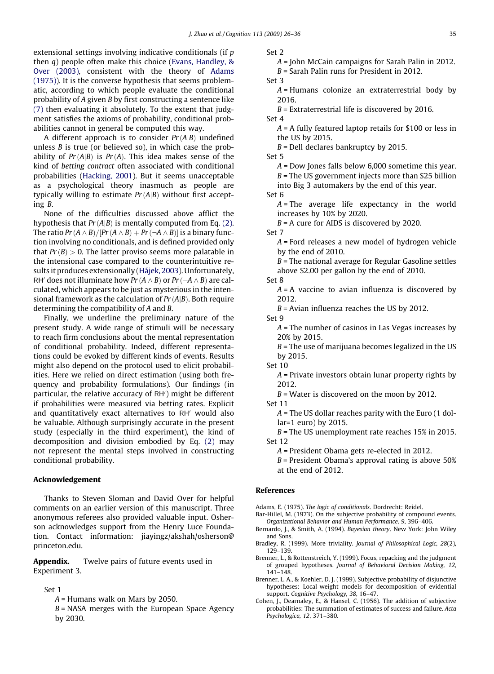<span id="page-9-0"></span>extensional settings involving indicative conditionals (if p then q) people often make this choice [\(Evans, Handley, &](#page-10-0) [Over \(2003\),](#page-10-0) consistent with the theory of Adams (1975)). It is the converse hypothesis that seems problematic, according to which people evaluate the conditional probability of A given B by first constructing a sentence like [\(7\)](#page-8-0) then evaluating it absolutely. To the extent that judgment satisfies the axioms of probability, conditional probabilities cannot in general be computed this way.

A different approach is to consider  $Pr(A|B)$  undefined unless  $B$  is true (or believed so), in which case the probability of  $Pr(A|B)$  is  $Pr(A)$ . This idea makes sense of the kind of betting contract often associated with conditional probabilities [\(Hacking, 2001](#page-10-0)). But it seems unacceptable as a psychological theory inasmuch as people are typically willing to estimate  $Pr(A|B)$  without first accepting B.

None of the difficulties discussed above afflict the hypothesis that  $Pr(A|B)$  is mentally computed from Eq. [\(2\)](#page-2-0). The ratio Pr (A  $\wedge$  B) / [Pr (A  $\wedge$  B)  $+$  Pr (¬A  $\wedge$  B)] is a binary function involving no conditionals, and is defined provided only that  $Pr(B) > 0$ . The latter proviso seems more palatable in the intensional case compared to the counterintuitive results it produces extensionally [\(Hájek, 2003\)](#page-10-0). Unfortunately, RH' does not illuminate how  $Pr(A \wedge B)$  or  $Pr(\neg A \wedge B)$  are calculated, which appears to be just as mysterious in the intensional framework as the calculation of  $Pr(A|B)$ . Both require determining the compatibility of A and B.

Finally, we underline the preliminary nature of the present study. A wide range of stimuli will be necessary to reach firm conclusions about the mental representation of conditional probability. Indeed, different representations could be evoked by different kinds of events. Results might also depend on the protocol used to elicit probabilities. Here we relied on direct estimation (using both frequency and probability formulations). Our findings (in particular, the relative accuracy of RH') might be different if probabilities were measured via betting rates. Explicit and quantitatively exact alternatives to RH<sup>'</sup> would also be valuable. Although surprisingly accurate in the present study (especially in the third experiment), the kind of decomposition and division embodied by Eq. [\(2\)](#page-2-0) may not represent the mental steps involved in constructing conditional probability.

# Acknowledgement

Thanks to Steven Sloman and David Over for helpful comments on an earlier version of this manuscript. Three anonymous referees also provided valuable input. Osherson acknowledges support from the Henry Luce Foundation. Contact information: jiayingz/akshah/osherson@ princeton.edu.

Appendix. Twelve pairs of future events used in Experiment 3.

#### Set 1

- A = Humans walk on Mars by 2050.
- $B = NASA$  merges with the European Space Agency by 2030.

Set 2

A = John McCain campaigns for Sarah Palin in 2012.  $B$  = Sarah Palin runs for President in 2012.

Set 3

A = Humans colonize an extraterrestrial body by 2016.

 $B$  = Extraterrestrial life is discovered by 2016.

Set 4

 $A = A$  fully featured laptop retails for \$100 or less in the US by 2015.

 $B =$  Dell declares bankruptcy by 2015.

Set 5

A = Dow Jones falls below 6,000 sometime this year.  $B$  = The US government injects more than \$25 billion into Big 3 automakers by the end of this year.

Set 6

 $A =$ The average life expectancy in the world increases by 10% by 2020.

 $B = A$  cure for AIDS is discovered by 2020.

Set 7

A = Ford releases a new model of hydrogen vehicle by the end of 2010.

 $B$  = The national average for Regular Gasoline settles above \$2.00 per gallon by the end of 2010.

Set 8

 $A = A$  vaccine to avian influenza is discovered by 2012.

 $B$  = Avian influenza reaches the US by 2012.

Set 9

 $A$  = The number of casinos in Las Vegas increases by 20% by 2015.

 $B$  = The use of marijuana becomes legalized in the US by 2015.

Set 10

A = Private investors obtain lunar property rights by 2012.

 $B$  = Water is discovered on the moon by 2012.

Set 11

 $A$  = The US dollar reaches parity with the Euro (1 dollar=1 euro) by 2015.

 $B$  = The US unemployment rate reaches 15% in 2015. Set 12

A = President Obama gets re-elected in 2012.

 $B$  = President Obama's approval rating is above 50% at the end of 2012.

# References

Adams, E. (1975). The logic of conditionals. Dordrecht: Reidel.

Bar-Hillel, M. (1973). On the subjective probability of compound events. Organizational Behavior and Human Performance, 9, 396–406.

- Bernardo, J., & Smith, A. (1994). Bayesian theory. New York: John Wiley and Sons.
- Bradley, R. (1999). More triviality. Journal of Philosophical Logic, 28(2), 129–139.
- Brenner, L., & Rottenstreich, Y. (1999). Focus, repacking and the judgment of grouped hypotheses. Journal of Behavioral Decision Making, 12, 141–148.
- Brenner, L. A., & Koehler, D. J. (1999). Subjective probability of disjunctive hypotheses: Local-weight models for decomposition of evidential support. Cognitive Psychology, 38, 16–47.
- Cohen, J., Dearnaley, E., & Hansel, C. (1956). The addition of subjective probabilities: The summation of estimates of success and failure. Acta Psychologica, 12, 371–380.